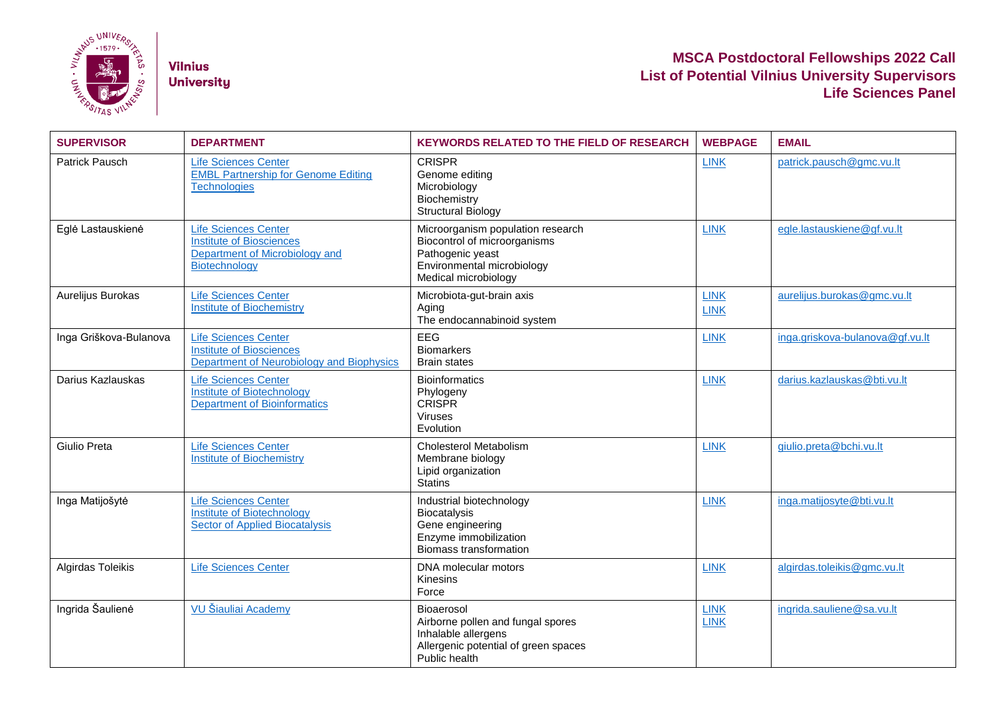

**Vilnius University** 

## **MSCA Postdoctoral Fellowships 2022 Call List of Potential Vilnius University Supervisors Life Sciences Panel**

| <b>SUPERVISOR</b>      | <b>DEPARTMENT</b>                                                                                                 | <b>KEYWORDS RELATED TO THE FIELD OF RESEARCH</b>                                                                                            | <b>WEBPAGE</b>             | <b>EMAIL</b>                    |
|------------------------|-------------------------------------------------------------------------------------------------------------------|---------------------------------------------------------------------------------------------------------------------------------------------|----------------------------|---------------------------------|
| Patrick Pausch         | <b>Life Sciences Center</b><br><b>EMBL Partnership for Genome Editing</b><br><b>Technologies</b>                  | <b>CRISPR</b><br>Genome editing<br>Microbiology<br>Biochemistry<br><b>Structural Biology</b>                                                | <b>LINK</b>                | patrick.pausch@gmc.vu.lt        |
| Eglė Lastauskienė      | <b>Life Sciences Center</b><br><b>Institute of Biosciences</b><br>Department of Microbiology and<br>Biotechnology | Microorganism population research<br>Biocontrol of microorganisms<br>Pathogenic yeast<br>Environmental microbiology<br>Medical microbiology | <b>LINK</b>                | egle.lastauskiene@gf.vu.lt      |
| Aurelijus Burokas      | <b>Life Sciences Center</b><br><b>Institute of Biochemistry</b>                                                   | Microbiota-gut-brain axis<br>Aging<br>The endocannabinoid system                                                                            | <b>LINK</b><br><b>LINK</b> | aurelijus.burokas@gmc.vu.lt     |
| Inga Griškova-Bulanova | <b>Life Sciences Center</b><br><b>Institute of Biosciences</b><br>Department of Neurobiology and Biophysics       | <b>EEG</b><br><b>Biomarkers</b><br><b>Brain states</b>                                                                                      | <b>LINK</b>                | inga.griskova-bulanova@gf.vu.lt |
| Darius Kazlauskas      | <b>Life Sciences Center</b><br><b>Institute of Biotechnology</b><br><b>Department of Bioinformatics</b>           | <b>Bioinformatics</b><br>Phylogeny<br><b>CRISPR</b><br><b>Viruses</b><br>Evolution                                                          | <b>LINK</b>                | darius.kazlauskas@bti.vu.lt     |
| Giulio Preta           | <b>Life Sciences Center</b><br><b>Institute of Biochemistry</b>                                                   | Cholesterol Metabolism<br>Membrane biology<br>Lipid organization<br><b>Statins</b>                                                          | <b>LINK</b>                | giulio.preta@bchi.vu.lt         |
| Inga Matijošytė        | <b>Life Sciences Center</b><br>Institute of Biotechnology<br><b>Sector of Applied Biocatalysis</b>                | Industrial biotechnology<br><b>Biocatalysis</b><br>Gene engineering<br>Enzyme immobilization<br><b>Biomass transformation</b>               | <b>LINK</b>                | inga.matijosyte@bti.vu.lt       |
| Algirdas Toleikis      | <b>Life Sciences Center</b>                                                                                       | DNA molecular motors<br><b>Kinesins</b><br>Force                                                                                            | <b>LINK</b>                | algirdas.toleikis@gmc.vu.lt     |
| Ingrida Šaulienė       | VU Šiauliai Academy                                                                                               | Bioaerosol<br>Airborne pollen and fungal spores<br>Inhalable allergens<br>Allergenic potential of green spaces<br>Public health             | <b>LINK</b><br><b>LINK</b> | ingrida.sauliene@sa.vu.lt       |